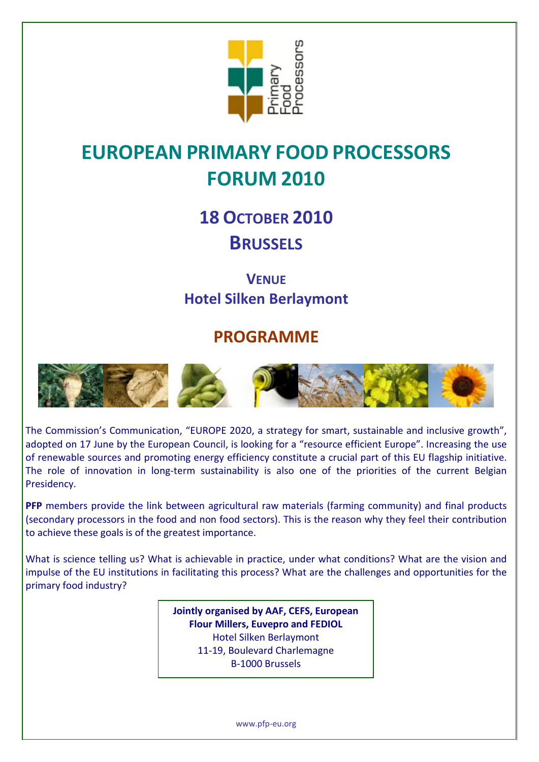

# **EUROPEAN PRIMARY FOOD PROCESSORS FORUM 2010**

**18 OCTOBER 2010 BRUSSELS**

**VENUE Hotel Silken Berlaymont**

## **PROGRAMME**



The Commission's Communication, "EUROPE 2020, a strategy for smart, sustainable and inclusive growth", adopted on 17 June by the European Council, is looking for a "resource efficient Europe". Increasing the use of renewable sources and promoting energy efficiency constitute a crucial part of this EU flagship initiative. The role of innovation in long-term sustainability is also one of the priorities of the current Belgian Presidency.

**PFP** members provide the link between agricultural raw materials (farming community) and final products (secondary processors in the food and non food sectors). This is the reason why they feel their contribution to achieve these goals is of the greatest importance.

What is science telling us? What is achievable in practice, under what conditions? What are the vision and impulse of the EU institutions in facilitating this process? What are the challenges and opportunities for the primary food industry?

> **Jointly organised by AAF, CEFS, European Flour Millers, Euvepro and FEDIOL**  Hotel Silken Berlaymont 11-19, Boulevard Charlemagne B-1000 Brussels

> > www.pfp-eu.org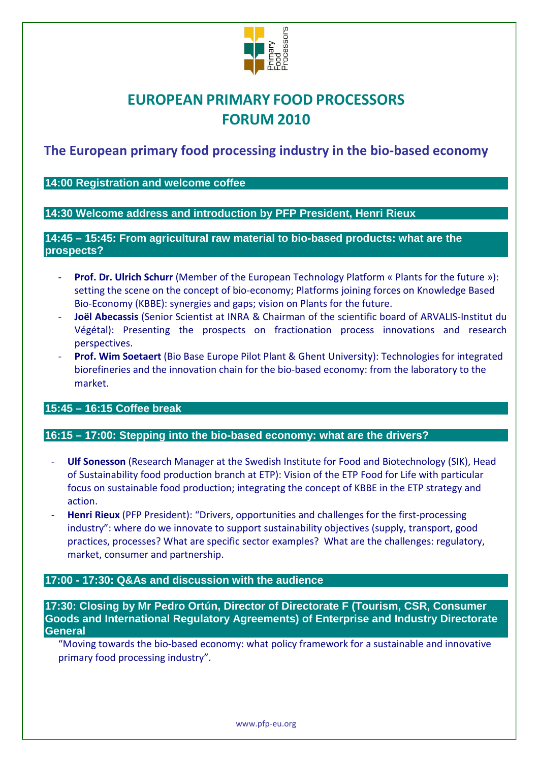

## **EUROPEAN PRIMARY FOOD PROCESSORS FORUM 2010**

**The European primary food processing industry in the bio-based economy**

**14:00 Registration and welcome coffee**

**14:30 Welcome address and introduction by PFP President, Henri Rieux**

**14:45 – 15:45: From agricultural raw material to bio-based products: what are the prospects?** 

- **Prof. Dr. Ulrich Schurr** (Member of the European Technology Platform « Plants for the future »): setting the scene on the concept of bio-economy; Platforms joining forces on Knowledge Based Bio-Economy (KBBE): synergies and gaps; vision on Plants for the future.
- **Joël Abecassis** (Senior Scientist at INRA & Chairman of the scientific board of ARVALIS-Institut du Végétal): Presenting the prospects on fractionation process innovations and research perspectives.
- **Prof. Wim Soetaert** (Bio Base Europe Pilot Plant & Ghent University): Technologies for integrated biorefineries and the innovation chain for the bio-based economy: from the laboratory to the market.

**15:45 – 16:15 Coffee break**

#### **16:15 – 17:00: Stepping into the bio-based economy: what are the drivers?**

- **Ulf Sonesson** (Research Manager at the Swedish Institute for Food and Biotechnology (SIK), Head of Sustainability food production branch at ETP): Vision of the ETP Food for Life with particular focus on sustainable food production; integrating the concept of KBBE in the ETP strategy and action.
- **Henri Rieux** (PFP President): "Drivers, opportunities and challenges for the first-processing industry": where do we innovate to support sustainability objectives (supply, transport, good practices, processes? What are specific sector examples? What are the challenges: regulatory, market, consumer and partnership.

#### **17:00 - 17:30: Q&As and discussion with the audience**

**17:30: Closing by Mr Pedro Ortún, Director of Directorate F (Tourism, CSR, Consumer Goods and International Regulatory Agreements) of Enterprise and Industry Directorate General**

"Moving towards the bio-based economy: what policy framework for a sustainable and innovative primary food processing industry".

www.pfp-eu.org